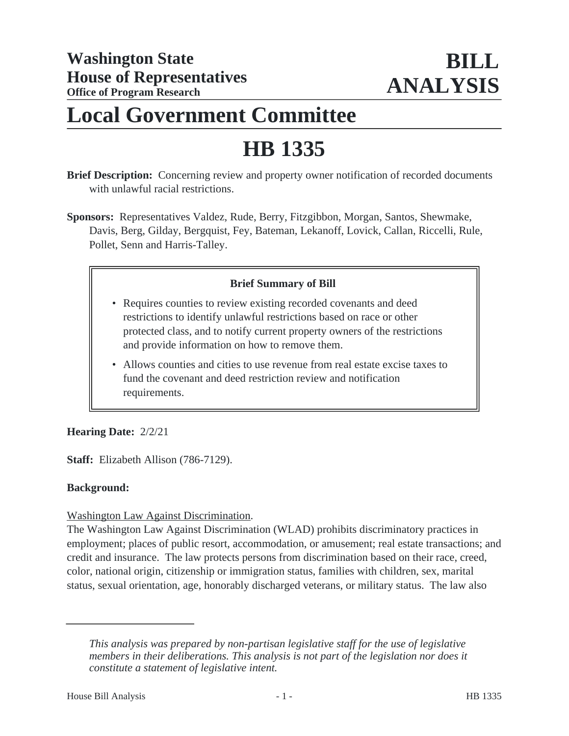# **Local Government Committee**

# **HB 1335**

**Brief Description:** Concerning review and property owner notification of recorded documents with unlawful racial restrictions.

**Sponsors:** Representatives Valdez, Rude, Berry, Fitzgibbon, Morgan, Santos, Shewmake, Davis, Berg, Gilday, Bergquist, Fey, Bateman, Lekanoff, Lovick, Callan, Riccelli, Rule, Pollet, Senn and Harris-Talley.

# **Brief Summary of Bill**

- Requires counties to review existing recorded covenants and deed restrictions to identify unlawful restrictions based on race or other protected class, and to notify current property owners of the restrictions and provide information on how to remove them.
- Allows counties and cities to use revenue from real estate excise taxes to fund the covenant and deed restriction review and notification requirements.

### **Hearing Date:** 2/2/21

**Staff:** Elizabeth Allison (786-7129).

#### **Background:**

### Washington Law Against Discrimination.

The Washington Law Against Discrimination (WLAD) prohibits discriminatory practices in employment; places of public resort, accommodation, or amusement; real estate transactions; and credit and insurance. The law protects persons from discrimination based on their race, creed, color, national origin, citizenship or immigration status, families with children, sex, marital status, sexual orientation, age, honorably discharged veterans, or military status. The law also

*This analysis was prepared by non-partisan legislative staff for the use of legislative members in their deliberations. This analysis is not part of the legislation nor does it constitute a statement of legislative intent.*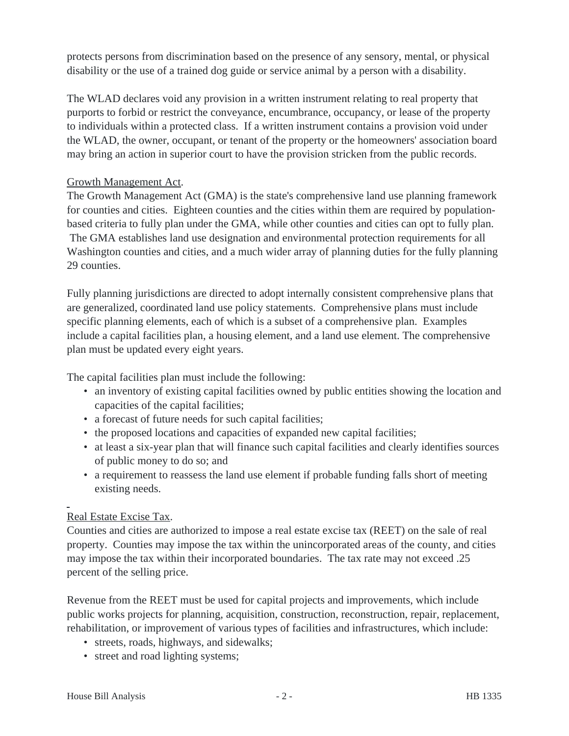protects persons from discrimination based on the presence of any sensory, mental, or physical disability or the use of a trained dog guide or service animal by a person with a disability.

The WLAD declares void any provision in a written instrument relating to real property that purports to forbid or restrict the conveyance, encumbrance, occupancy, or lease of the property to individuals within a protected class. If a written instrument contains a provision void under the WLAD, the owner, occupant, or tenant of the property or the homeowners' association board may bring an action in superior court to have the provision stricken from the public records.

## Growth Management Act.

The Growth Management Act (GMA) is the state's comprehensive land use planning framework for counties and cities. Eighteen counties and the cities within them are required by populationbased criteria to fully plan under the GMA, while other counties and cities can opt to fully plan. The GMA establishes land use designation and environmental protection requirements for all Washington counties and cities, and a much wider array of planning duties for the fully planning 29 counties.

Fully planning jurisdictions are directed to adopt internally consistent comprehensive plans that are generalized, coordinated land use policy statements. Comprehensive plans must include specific planning elements, each of which is a subset of a comprehensive plan. Examples include a capital facilities plan, a housing element, and a land use element. The comprehensive plan must be updated every eight years.

The capital facilities plan must include the following:

- an inventory of existing capital facilities owned by public entities showing the location and capacities of the capital facilities;
- a forecast of future needs for such capital facilities;
- the proposed locations and capacities of expanded new capital facilities;
- at least a six-year plan that will finance such capital facilities and clearly identifies sources of public money to do so; and
- a requirement to reassess the land use element if probable funding falls short of meeting existing needs.

### Real Estate Excise Tax.

Counties and cities are authorized to impose a real estate excise tax (REET) on the sale of real property. Counties may impose the tax within the unincorporated areas of the county, and cities may impose the tax within their incorporated boundaries. The tax rate may not exceed .25 percent of the selling price.

Revenue from the REET must be used for capital projects and improvements, which include public works projects for planning, acquisition, construction, reconstruction, repair, replacement, rehabilitation, or improvement of various types of facilities and infrastructures, which include:

- streets, roads, highways, and sidewalks;
- street and road lighting systems;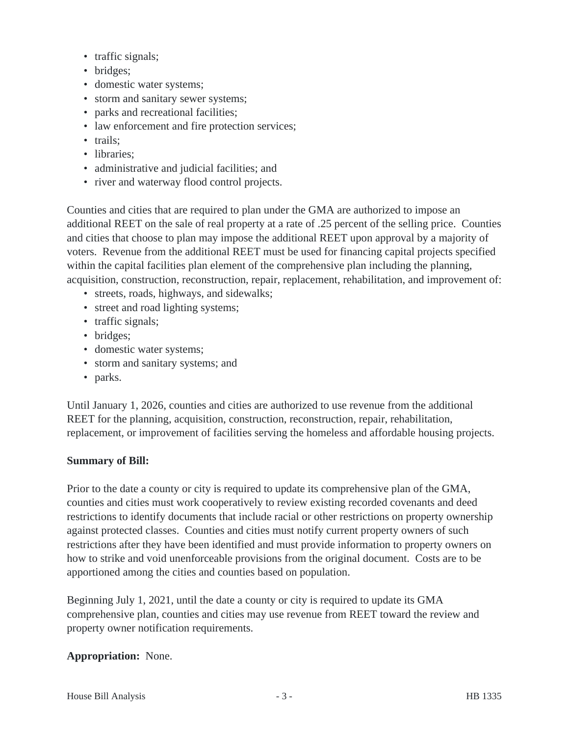- traffic signals;
- bridges;
- domestic water systems;
- storm and sanitary sewer systems;
- parks and recreational facilities;
- law enforcement and fire protection services;
- trails:
- libraries:
- administrative and judicial facilities; and
- river and waterway flood control projects.

Counties and cities that are required to plan under the GMA are authorized to impose an additional REET on the sale of real property at a rate of .25 percent of the selling price. Counties and cities that choose to plan may impose the additional REET upon approval by a majority of voters. Revenue from the additional REET must be used for financing capital projects specified within the capital facilities plan element of the comprehensive plan including the planning, acquisition, construction, reconstruction, repair, replacement, rehabilitation, and improvement of:

- streets, roads, highways, and sidewalks;
- street and road lighting systems;
- traffic signals;
- bridges;
- domestic water systems;
- storm and sanitary systems; and
- parks.

Until January 1, 2026, counties and cities are authorized to use revenue from the additional REET for the planning, acquisition, construction, reconstruction, repair, rehabilitation, replacement, or improvement of facilities serving the homeless and affordable housing projects.

#### **Summary of Bill:**

Prior to the date a county or city is required to update its comprehensive plan of the GMA, counties and cities must work cooperatively to review existing recorded covenants and deed restrictions to identify documents that include racial or other restrictions on property ownership against protected classes. Counties and cities must notify current property owners of such restrictions after they have been identified and must provide information to property owners on how to strike and void unenforceable provisions from the original document. Costs are to be apportioned among the cities and counties based on population.

Beginning July 1, 2021, until the date a county or city is required to update its GMA comprehensive plan, counties and cities may use revenue from REET toward the review and property owner notification requirements.

#### **Appropriation:** None.